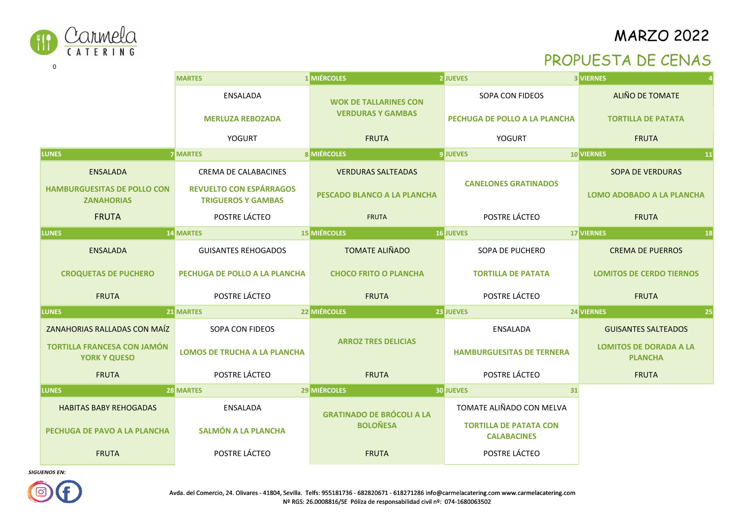



0

|                                                           | <b>MARTES</b>                                               | 1 MIÉRCOLES                      | <b>2 JUEVES</b>                                     | <b>3 VIERNES</b>                                |
|-----------------------------------------------------------|-------------------------------------------------------------|----------------------------------|-----------------------------------------------------|-------------------------------------------------|
|                                                           | ENSALADA                                                    | <b>WOK DE TALLARINES CON</b>     | SOPA CON FIDEOS                                     | ALIÑO DE TOMATE                                 |
|                                                           | <b>MERLUZA REBOZADA</b>                                     | <b>VERDURAS Y GAMBAS</b>         | PECHUGA DE POLLO A LA PLANCHA                       | <b>TORTILLA DE PATATA</b>                       |
|                                                           | <b>YOGURT</b>                                               | <b>FRUTA</b>                     | YOGURT                                              | <b>FRUTA</b>                                    |
| LUNES                                                     | <b>7 MARTES</b>                                             | <b>8 MIÉRCOLES</b>               | <b>9 JUEVES</b>                                     | 10 VIERNES<br> 11                               |
| <b>ENSALADA</b>                                           | <b>CREMA DE CALABACINES</b>                                 | <b>VERDURAS SALTEADAS</b>        |                                                     | <b>SOPA DE VERDURAS</b>                         |
| <b>HAMBURGUESITAS DE POLLO CON</b><br><b>ZANAHORIAS</b>   | <b>REVUELTO CON ESPÁRRAGOS</b><br><b>TRIGUEROS Y GAMBAS</b> | PESCADO BLANCO A LA PLANCHA      | <b>CANELONES GRATINADOS</b>                         | <b>LOMO ADOBADO A LA PLANCHA</b>                |
| <b>FRUTA</b>                                              | POSTRE LÁCTEO                                               | <b>FRUTA</b>                     | POSTRE LÁCTEO                                       | <b>FRUTA</b>                                    |
| <b>LUNES</b>                                              | <b>14 MARTES</b>                                            | <b>15 MIÉRCOLES</b>              | <b>16 JUEVES</b>                                    | <b>17 VIERNES</b><br>18                         |
| <b>ENSALADA</b>                                           | <b>GUISANTES REHOGADOS</b>                                  | <b>TOMATE ALIÑADO</b>            | SOPA DE PUCHERO                                     | <b>CREMA DE PUERROS</b>                         |
| <b>CROQUETAS DE PUCHERO</b>                               | PECHUGA DE POLLO A LA PLANCHA                               | <b>CHOCO FRITO O PLANCHA</b>     | <b>TORTILLA DE PATATA</b>                           | <b>LOMITOS DE CERDO TIERNOS</b>                 |
| <b>FRUTA</b>                                              | POSTRE LÁCTEO                                               | <b>FRUTA</b>                     | POSTRE LÁCTEO                                       | <b>FRUTA</b>                                    |
| <b>LUNES</b>                                              | 21 MARTES                                                   | 22 MIÉRCOLES                     | 23 JUEVES                                           | 25<br>24 VIERNES                                |
| ZANAHORIAS RALLADAS CON MAÍZ                              | SOPA CON FIDEOS                                             |                                  | <b>ENSALADA</b>                                     | <b>GUISANTES SALTEADOS</b>                      |
| <b>TORTILLA FRANCESA CON JAMÓN</b><br><b>YORK Y QUESO</b> | <b>LOMOS DE TRUCHA A LA PLANCHA</b>                         | <b>ARROZ TRES DELICIAS</b>       | <b>HAMBURGUESITAS DE TERNERA</b>                    | <b>LOMITOS DE DORADA A LA</b><br><b>PLANCHA</b> |
| <b>FRUTA</b>                                              | POSTRE LÁCTEO                                               | <b>FRUTA</b>                     | POSTRE LÁCTEO                                       | <b>FRUTA</b>                                    |
| <b>LUNES</b>                                              | <b>28 MARTES</b>                                            | 29 MIÉRCOLES                     | <b>30 JUEVES</b><br>31                              |                                                 |
| <b>HABITAS BABY REHOGADAS</b>                             | ENSALADA                                                    | <b>GRATINADO DE BRÓCOLI A LA</b> | TOMATE ALIÑADO CON MELVA                            |                                                 |
| PECHUGA DE PAVO A LA PLANCHA                              | <b>SALMÓN A LA PLANCHA</b>                                  | <b>BOLOÑESA</b>                  | <b>TORTILLA DE PATATA CON</b><br><b>CALABACINES</b> |                                                 |
| <b>FRUTA</b>                                              | POSTRE LÁCTEO                                               | <b>FRUTA</b>                     | POSTRE LÁCTEO                                       |                                                 |

**SIGUENOS EN:** 

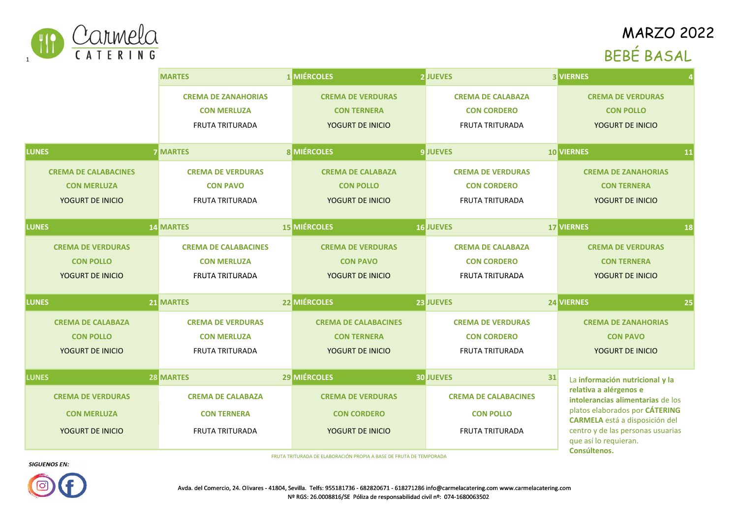

# **MARZO 2022** BEBÉ BASAL

|                                                                                    | <b>MARTES</b>               | 1 MIÉRCOLES                 | <b>2 JUEVES</b>             | <b>3 VIERNES</b>                                                        |  |
|------------------------------------------------------------------------------------|-----------------------------|-----------------------------|-----------------------------|-------------------------------------------------------------------------|--|
|                                                                                    | <b>CREMA DE ZANAHORIAS</b>  | <b>CREMA DE VERDURAS</b>    | <b>CREMA DE CALABAZA</b>    | <b>CREMA DE VERDURAS</b>                                                |  |
|                                                                                    | <b>CON MERLUZA</b>          | <b>CON TERNERA</b>          | <b>CON CORDERO</b>          | <b>CON POLLO</b>                                                        |  |
|                                                                                    | <b>FRUTA TRITURADA</b>      | YOGURT DE INICIO            | <b>FRUTA TRITURADA</b>      | YOGURT DE INICIO                                                        |  |
| <b>LUNES</b>                                                                       | <b>7 MARTES</b>             | <b>8 MIÉRCOLES</b>          | <b>9 JUEVES</b>             | <b>10 VIERNES</b><br><b>11</b>                                          |  |
| <b>CREMA DE CALABACINES</b>                                                        | <b>CREMA DE VERDURAS</b>    | <b>CREMA DE CALABAZA</b>    | <b>CREMA DE VERDURAS</b>    | <b>CREMA DE ZANAHORIAS</b>                                              |  |
| <b>CON MERLUZA</b>                                                                 | <b>CON PAVO</b>             | <b>CON POLLO</b>            | <b>CON CORDERO</b>          | <b>CON TERNERA</b>                                                      |  |
| YOGURT DE INICIO                                                                   | <b>FRUTA TRITURADA</b>      | YOGURT DE INICIO            | <b>FRUTA TRITURADA</b>      | YOGURT DE INICIO                                                        |  |
| <b>LUNES</b>                                                                       | <b>14 MARTES</b>            | <b>15 MIÉRCOLES</b>         | <b>16 JUEVES</b>            | <b>17 VIERNES</b><br>18                                                 |  |
|                                                                                    |                             |                             |                             |                                                                         |  |
| <b>CREMA DE VERDURAS</b>                                                           | <b>CREMA DE CALABACINES</b> | <b>CREMA DE VERDURAS</b>    | <b>CREMA DE CALABAZA</b>    | <b>CREMA DE VERDURAS</b>                                                |  |
| <b>CON POLLO</b>                                                                   | <b>CON MERLUZA</b>          | <b>CON PAVO</b>             | <b>CON CORDERO</b>          | <b>CON TERNERA</b>                                                      |  |
| YOGURT DE INICIO                                                                   | <b>FRUTA TRITURADA</b>      | YOGURT DE INICIO            | <b>FRUTA TRITURADA</b>      | YOGURT DE INICIO                                                        |  |
| <b>LUNES</b>                                                                       | <b>21 MARTES</b>            | 22 MIÉRCOLES                | <b>23 JUEVES</b>            | 24 VIERNES<br>25                                                        |  |
| <b>CREMA DE CALABAZA</b>                                                           | <b>CREMA DE VERDURAS</b>    | <b>CREMA DE CALABACINES</b> | <b>CREMA DE VERDURAS</b>    | <b>CREMA DE ZANAHORIAS</b>                                              |  |
| <b>CON POLLO</b>                                                                   | <b>CON MERLUZA</b>          | <b>CON TERNERA</b>          | <b>CON CORDERO</b>          | <b>CON PAVO</b>                                                         |  |
| YOGURT DE INICIO                                                                   | <b>FRUTA TRITURADA</b>      | YOGURT DE INICIO            | <b>FRUTA TRITURADA</b>      | YOGURT DE INICIO                                                        |  |
| <b>LUNES</b>                                                                       | 28 MARTES                   | 29 MIÉRCOLES                | <b>30 JUEVES</b><br>31      |                                                                         |  |
|                                                                                    |                             |                             |                             | La información nutricional y la<br>relativa a alérgenos e               |  |
| <b>CREMA DE VERDURAS</b>                                                           | <b>CREMA DE CALABAZA</b>    | <b>CREMA DE VERDURAS</b>    | <b>CREMA DE CALABACINES</b> | intolerancias alimentarias de los                                       |  |
| <b>CON MERLUZA</b>                                                                 | <b>CON TERNERA</b>          | <b>CON CORDERO</b>          | <b>CON POLLO</b>            | platos elaborados por CÁTERING<br><b>CARMELA</b> está a disposición del |  |
| YOGURT DE INICIO                                                                   | <b>FRUTA TRITURADA</b>      | YOGURT DE INICIO            | <b>FRUTA TRITURADA</b>      | centro y de las personas usuarias<br>que así lo requieran.              |  |
| Consúltenos.<br>FRUTA TRITURADA DE ELABORACIÓN PROPIA A BASE DE FRUTA DE TEMPORADA |                             |                             |                             |                                                                         |  |

**SIGUENOS EN:** 



Avda. del Comercio, 24. Olivares - 41804, Sevilla. Telfs: 955181736 - 682820671 - 618271286 info@carmelacatering.com www.carmelacatering.comNº RGS: 26.0008816/SE Póliza de responsabilidad civil nº: 074-1680063502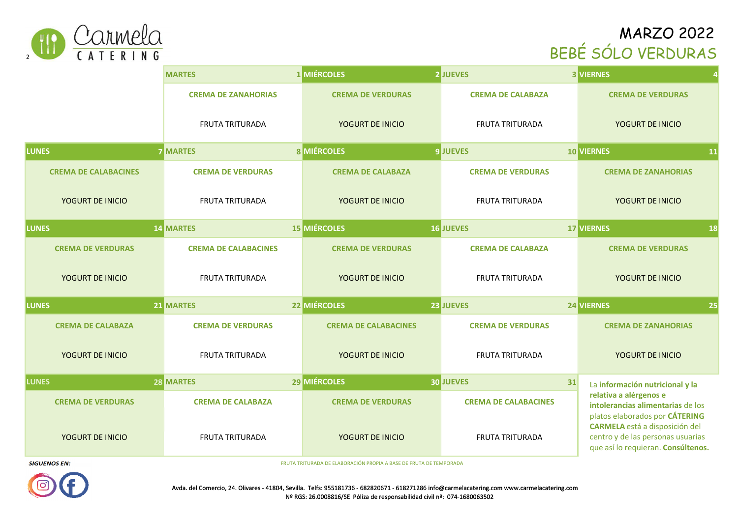# MARZO 2022 BEBÉ SÓLO VERDURAS



|                             | <b>MARTES</b>               | 1 MIÉRCOLES                 | <b>2 JUEVES</b>             | <b>3 VIERNES</b>                                                                                                 |  |
|-----------------------------|-----------------------------|-----------------------------|-----------------------------|------------------------------------------------------------------------------------------------------------------|--|
|                             | <b>CREMA DE ZANAHORIAS</b>  | <b>CREMA DE VERDURAS</b>    | <b>CREMA DE CALABAZA</b>    | <b>CREMA DE VERDURAS</b>                                                                                         |  |
|                             | <b>FRUTA TRITURADA</b>      | YOGURT DE INICIO            | <b>FRUTA TRITURADA</b>      | YOGURT DE INICIO                                                                                                 |  |
| <b>LUNES</b>                | <b>7 MARTES</b>             | <b>8 MIÉRCOLES</b>          | <b>9 JUEVES</b>             | 11<br><b>10 VIERNES</b>                                                                                          |  |
| <b>CREMA DE CALABACINES</b> | <b>CREMA DE VERDURAS</b>    | <b>CREMA DE CALABAZA</b>    | <b>CREMA DE VERDURAS</b>    | <b>CREMA DE ZANAHORIAS</b>                                                                                       |  |
| YOGURT DE INICIO            | <b>FRUTA TRITURADA</b>      | YOGURT DE INICIO            | <b>FRUTA TRITURADA</b>      | YOGURT DE INICIO                                                                                                 |  |
| <b>LUNES</b>                | <b>14 MARTES</b>            | <b>15 MIÉRCOLES</b>         | <b>16 JUEVES</b>            | 17 VIERNES<br>18                                                                                                 |  |
| <b>CREMA DE VERDURAS</b>    | <b>CREMA DE CALABACINES</b> | <b>CREMA DE VERDURAS</b>    | <b>CREMA DE CALABAZA</b>    | <b>CREMA DE VERDURAS</b>                                                                                         |  |
| YOGURT DE INICIO            | <b>FRUTA TRITURADA</b>      | YOGURT DE INICIO            | <b>FRUTA TRITURADA</b>      | YOGURT DE INICIO                                                                                                 |  |
| <b>LUNES</b>                | <b>21 MARTES</b>            | 22 MIÉRCOLES                | 23 JUEVES                   | 24 VIERNES<br>25                                                                                                 |  |
| <b>CREMA DE CALABAZA</b>    | <b>CREMA DE VERDURAS</b>    | <b>CREMA DE CALABACINES</b> | <b>CREMA DE VERDURAS</b>    | <b>CREMA DE ZANAHORIAS</b>                                                                                       |  |
| YOGURT DE INICIO            | <b>FRUTA TRITURADA</b>      | YOGURT DE INICIO            | <b>FRUTA TRITURADA</b>      | YOGURT DE INICIO                                                                                                 |  |
| <b>LUNES</b>                | 28 MARTES                   | 29 MIÉRCOLES                | <b>30 JUEVES</b><br>31      | La información nutricional y la                                                                                  |  |
| <b>CREMA DE VERDURAS</b>    | <b>CREMA DE CALABAZA</b>    | <b>CREMA DE VERDURAS</b>    | <b>CREMA DE CALABACINES</b> | relativa a alérgenos e<br>intolerancias alimentarias de los<br>platos elaborados por CÁTERING                    |  |
| YOGURT DE INICIO            | <b>FRUTA TRITURADA</b>      | YOGURT DE INICIO            | <b>FRUTA TRITURADA</b>      | <b>CARMELA</b> está a disposición del<br>centro y de las personas usuarias<br>que así lo requieran. Consúltenos. |  |
|                             |                             |                             |                             |                                                                                                                  |  |

FRUTA TRITURADA DE ELABORACIÓN PROPIA A BASE DE FRUTA DE TEMPORADA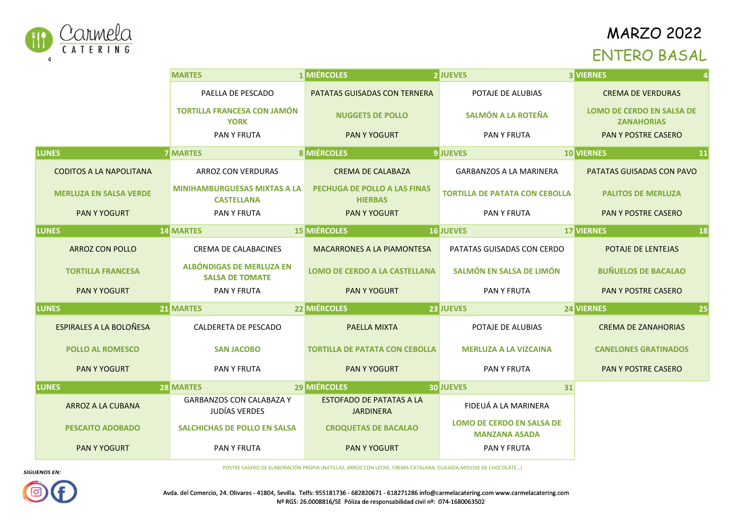

#### ENTERO BASAL

|                                | <b>MARTES</b>                                            | <b>1 MIÉRCOLES</b>                                  | <b>2 JUEVES</b>                                          | <b>3 VIERNES</b>                                      |
|--------------------------------|----------------------------------------------------------|-----------------------------------------------------|----------------------------------------------------------|-------------------------------------------------------|
|                                | PAELLA DE PESCADO                                        | PATATAS GUISADAS CON TERNERA                        | POTAJE DE ALUBIAS                                        | <b>CREMA DE VERDURAS</b>                              |
|                                | <b>TORTILLA FRANCESA CON JAMÓN</b><br><b>YORK</b>        | <b>NUGGETS DE POLLO</b>                             | <b>SALMÓN A LA ROTEÑA</b>                                | <b>LOMO DE CERDO EN SALSA DE</b><br><b>ZANAHORIAS</b> |
|                                | PAN Y FRUTA                                              | <b>PAN Y YOGURT</b>                                 | PAN Y FRUTA                                              | PAN Y POSTRE CASERO                                   |
| <b>LUNES</b>                   | <b>7 MARTES</b>                                          | <b>8 MIÉRCOLES</b>                                  | <b>9 JUEVES</b>                                          | <b>10 VIERNES</b><br>11                               |
| <b>CODITOS A LA NAPOLITANA</b> | ARROZ CON VERDURAS                                       | <b>CREMA DE CALABAZA</b>                            | <b>GARBANZOS A LA MARINERA</b>                           | PATATAS GUISADAS CON PAVO                             |
| <b>MERLUZA EN SALSA VERDE</b>  | <b>MINIHAMBURGUESAS MIXTAS A LA</b><br><b>CASTELLANA</b> | PECHUGA DE POLLO A LAS FINAS<br><b>HIERBAS</b>      | <b>TORTILLA DE PATATA CON CEBOLLA</b>                    | <b>PALITOS DE MERLUZA</b>                             |
| <b>PAN Y YOGURT</b>            | <b>PAN Y FRUTA</b>                                       | <b>PAN Y YOGURT</b>                                 | <b>PAN Y FRUTA</b>                                       | <b>PAN Y POSTRE CASERO</b>                            |
| <b>LUNES</b>                   | <b>14 MARTES</b>                                         | <b>15 MIÉRCOLES</b>                                 | <b>16 JUEVES</b>                                         | <b>17 VIERNES</b><br>18                               |
| <b>ARROZ CON POLLO</b>         | <b>CREMA DE CALABACINES</b>                              | <b>MACARRONES A LA PIAMONTESA</b>                   | PATATAS GUISADAS CON CERDO                               | POTAJE DE LENTEJAS                                    |
| <b>TORTILLA FRANCESA</b>       | ALBÓNDIGAS DE MERLUZA EN<br><b>SALSA DE TOMATE</b>       | <b>LOMO DE CERDO A LA CASTELLANA</b>                | SALMÓN EN SALSA DE LIMÓN                                 | <b>BUÑUELOS DE BACALAO</b>                            |
| <b>PAN Y YOGURT</b>            | PAN Y FRUTA                                              | <b>PAN Y YOGURT</b>                                 | PAN Y FRUTA                                              | PAN Y POSTRE CASERO                                   |
| <b>LUNES</b>                   | 21 MARTES                                                | 22 MIÉRCOLES                                        | 23 JUEVES                                                | 24 VIERNES<br>25                                      |
| <b>ESPIRALES A LA BOLOÑESA</b> | <b>CALDERETA DE PESCADO</b>                              | PAELLA MIXTA                                        | POTAJE DE ALUBIAS                                        | <b>CREMA DE ZANAHORIAS</b>                            |
| <b>POLLO AL ROMESCO</b>        | <b>SAN JACOBO</b>                                        | <b>TORTILLA DE PATATA CON CEBOLLA</b>               | <b>MERLUZA A LA VIZCAINA</b>                             | <b>CANELONES GRATINADOS</b>                           |
| <b>PAN Y YOGURT</b>            | PAN Y FRUTA                                              | <b>PAN Y YOGURT</b>                                 | PAN Y FRUTA                                              | PAN Y POSTRE CASERO                                   |
| <b>ILUNES</b>                  | <b>28 MARTES</b>                                         | 29 MIÉRCOLES                                        | <b>30 JUEVES</b><br>31                                   |                                                       |
| ARROZ A LA CUBANA              | <b>GARBANZOS CON CALABAZA Y</b><br>JUDÍAS VERDES         | <b>ESTOFADO DE PATATAS A LA</b><br><b>JARDINERA</b> | FIDEUÁ A LA MARINERA                                     |                                                       |
| <b>PESCAITO ADOBADO</b>        | <b>SALCHICHAS DE POLLO EN SALSA</b>                      | <b>CROQUETAS DE BACALAO</b>                         | <b>LOMO DE CERDO EN SALSA DE</b><br><b>MANZANA ASADA</b> |                                                       |
| <b>PAN Y YOGURT</b>            | PAN Y FRUTA                                              | <b>PAN Y YOGURT</b>                                 | PAN Y FRUTA                                              |                                                       |

**Kcal.SIGUENOS EN:** 

634

**HdC.** <sup>81</sup> **Prot.** <sup>24</sup> **lip.** <sup>27</sup> **Kca**

Avda. del Comercio, 24. Olivares - 41804, Sevilla. Telfs: 955181736 - 682820671 - 618271286 info@carmelacatering.com www.carmelacatering.comNº RGS: 26.0008816/SE Póliza de responsabilidad civil nº: 074-1680063502

POSTRE CASERO DE ELABORACIÓN PROPIA (NATILLAS, ARROZ CON LECHE, CREMA CATALANA, CUAJADA,MOUSSE DE CHOCOLATE...)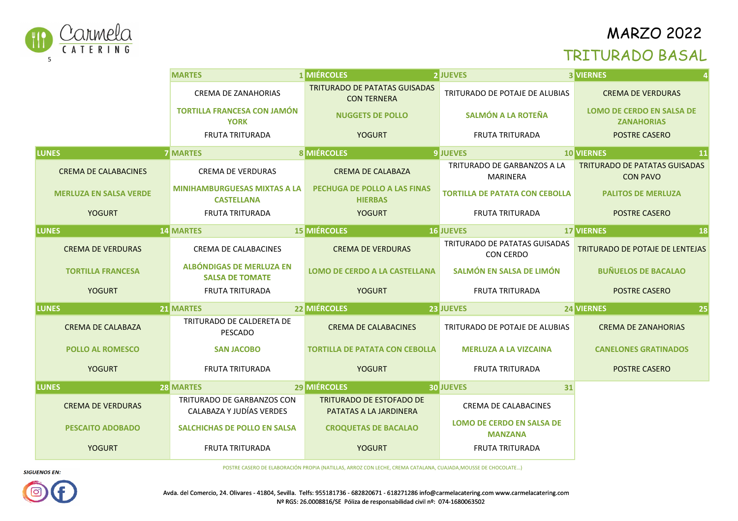

#### TRITURADO BASAL

|                               | <b>MARTES</b>                                            | <b>1 MIÉRCOLES</b>                                         | <b>2 JUEVES</b>                                    | <b>3 VIERNES</b>                                        |
|-------------------------------|----------------------------------------------------------|------------------------------------------------------------|----------------------------------------------------|---------------------------------------------------------|
|                               | <b>CREMA DE ZANAHORIAS</b>                               | <b>TRITURADO DE PATATAS GUISADAS</b><br><b>CON TERNERA</b> | TRITURADO DE POTAJE DE ALUBIAS                     | <b>CREMA DE VERDURAS</b>                                |
|                               | <b>TORTILLA FRANCESA CON JAMÓN</b><br><b>YORK</b>        | <b>NUGGETS DE POLLO</b>                                    | SALMÓN A LA ROTEÑA                                 | <b>LOMO DE CERDO EN SALSA DE</b><br><b>ZANAHORIAS</b>   |
|                               | <b>FRUTA TRITURADA</b>                                   | <b>YOGURT</b>                                              | <b>FRUTA TRITURADA</b>                             | <b>POSTRE CASERO</b>                                    |
| <b>LUNES</b>                  | <b>7 MARTES</b>                                          | <b>8 MIÉRCOLES</b>                                         | <b>9 JUEVES</b>                                    | <b>10 VIERNES</b><br>11                                 |
| <b>CREMA DE CALABACINES</b>   | <b>CREMA DE VERDURAS</b>                                 | <b>CREMA DE CALABAZA</b>                                   | TRITURADO DE GARBANZOS A LA<br><b>MARINERA</b>     | <b>TRITURADO DE PATATAS GUISADAS</b><br><b>CON PAVO</b> |
| <b>MERLUZA EN SALSA VERDE</b> | <b>MINIHAMBURGUESAS MIXTAS A LA</b><br><b>CASTELLANA</b> | PECHUGA DE POLLO A LAS FINAS<br><b>HIERBAS</b>             | <b>TORTILLA DE PATATA CON CEBOLLA</b>              | <b>PALITOS DE MERLUZA</b>                               |
| <b>YOGURT</b>                 | <b>FRUTA TRITURADA</b>                                   | <b>YOGURT</b>                                              | <b>FRUTA TRITURADA</b>                             | <b>POSTRE CASERO</b>                                    |
| <b>LUNES</b>                  | <b>14 MARTES</b>                                         | <b>15 MIÉRCOLES</b>                                        | <b>16 JUEVES</b>                                   | <b>17 VIERNES</b><br><b>18</b>                          |
| <b>CREMA DE VERDURAS</b>      | <b>CREMA DE CALABACINES</b>                              | <b>CREMA DE VERDURAS</b>                                   | TRITURADO DE PATATAS GUISADAS<br>CON CERDO         | <b>TRITURADO DE POTAJE DE LENTEJAS</b>                  |
| <b>TORTILLA FRANCESA</b>      | ALBÓNDIGAS DE MERLUZA EN<br><b>SALSA DE TOMATE</b>       | <b>LOMO DE CERDO A LA CASTELLANA</b>                       | SALMÓN EN SALSA DE LIMÓN                           | <b>BUÑUELOS DE BACALAO</b>                              |
| <b>YOGURT</b>                 | <b>FRUTA TRITURADA</b>                                   | <b>YOGURT</b>                                              | <b>FRUTA TRITURADA</b>                             | <b>POSTRE CASERO</b>                                    |
| <b>LUNES</b>                  | 21 MARTES                                                | 22 MIÉRCOLES                                               | 23 JUEVES                                          | 24 VIERNES<br>25                                        |
| <b>CREMA DE CALABAZA</b>      | TRITURADO DE CALDERETA DE<br>PESCADO                     | <b>CREMA DE CALABACINES</b>                                | TRITURADO DE POTAJE DE ALUBIAS                     | <b>CREMA DE ZANAHORIAS</b>                              |
| <b>POLLO AL ROMESCO</b>       | <b>SAN JACOBO</b>                                        | <b>TORTILLA DE PATATA CON CEBOLLA</b>                      | <b>MERLUZA A LA VIZCAINA</b>                       | <b>CANELONES GRATINADOS</b>                             |
| <b>YOGURT</b>                 | <b>FRUTA TRITURADA</b>                                   | <b>YOGURT</b>                                              | <b>FRUTA TRITURADA</b>                             | <b>POSTRE CASERO</b>                                    |
| <b>LUNES</b>                  | <b>28 MARTES</b>                                         | 29 MIÉRCOLES                                               | <b>30 JUEVES</b><br>31                             |                                                         |
| <b>CREMA DE VERDURAS</b>      | TRITURADO DE GARBANZOS CON<br>CALABAZA Y JUDÍAS VERDES   | <b>TRITURADO DE ESTOFADO DE</b><br>PATATAS A LA JARDINERA  | <b>CREMA DE CALABACINES</b>                        |                                                         |
| <b>PESCAITO ADOBADO</b>       | <b>SALCHICHAS DE POLLO EN SALSA</b>                      | <b>CROQUETAS DE BACALAO</b>                                | <b>LOMO DE CERDO EN SALSA DE</b><br><b>MANZANA</b> |                                                         |
| <b>YOGURT</b>                 | <b>FRUTA TRITURADA</b>                                   | <b>YOGURT</b>                                              | <b>FRUTA TRITURADA</b>                             |                                                         |

POSTRE CASERO DE ELABORACIÓN PROPIA (NATILLAS, ARROZ CON LECHE, CREMA CATALANA, CUAJADA,MOUSSE DE CHOCOLATE...)



**HdC.** <sup>81</sup> **Prot.** <sup>24</sup> **lip.** <sup>27</sup> **Kca**

**Kcal.**634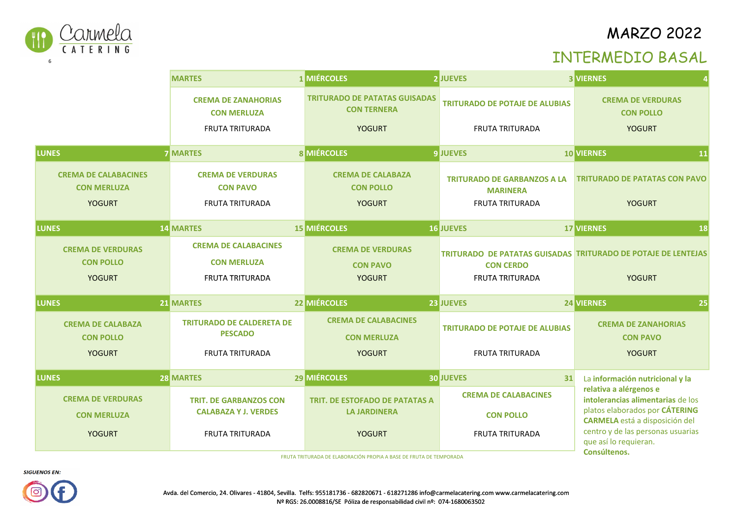

### INTERMEDIO BASAL

|                                                                    | <b>MARTES</b>                                                         | <b>1 MIÉRCOLES</b>                                                                   | <b>2 JUEVES</b>                                                                                             | <b>3 VIERNES</b>                                                           |
|--------------------------------------------------------------------|-----------------------------------------------------------------------|--------------------------------------------------------------------------------------|-------------------------------------------------------------------------------------------------------------|----------------------------------------------------------------------------|
|                                                                    | <b>CREMA DE ZANAHORIAS</b><br><b>CON MERLUZA</b>                      | <b>TRITURADO DE PATATAS GUISADAS</b><br><b>CON TERNERA</b>                           | <b>TRITURADO DE POTAJE DE ALUBIAS</b>                                                                       | <b>CREMA DE VERDURAS</b><br><b>CON POLLO</b>                               |
|                                                                    | <b>FRUTA TRITURADA</b>                                                | <b>YOGURT</b>                                                                        | <b>FRUTA TRITURADA</b>                                                                                      | <b>YOGURT</b>                                                              |
| <b>LUNES</b>                                                       | <b>7 MARTES</b>                                                       | <b>8 MIÉRCOLES</b>                                                                   | <b>9 JUEVES</b>                                                                                             | <b>10 VIERNES</b><br><b>11</b>                                             |
| <b>CREMA DE CALABACINES</b><br><b>CON MERLUZA</b><br><b>YOGURT</b> | <b>CREMA DE VERDURAS</b><br><b>CON PAVO</b><br><b>FRUTA TRITURADA</b> | <b>CREMA DE CALABAZA</b><br><b>CON POLLO</b><br><b>YOGURT</b>                        | <b>TRITURADO DE GARBANZOS A LA</b><br><b>MARINERA</b><br><b>FRUTA TRITURADA</b>                             | <b>TRITURADO DE PATATAS CON PAVO</b><br><b>YOGURT</b>                      |
| <b>LUNES</b>                                                       | <b>14 MARTES</b>                                                      | <b>15 MIÉRCOLES</b>                                                                  | <b>16 JUEVES</b>                                                                                            | <b>17 VIERNES</b><br>18                                                    |
| <b>CREMA DE VERDURAS</b><br><b>CON POLLO</b><br><b>YOGURT</b>      | <b>CREMA DE CALABACINES</b><br><b>CON MERLUZA</b><br>FRUTA TRITURADA  | <b>CREMA DE VERDURAS</b><br><b>CON PAVO</b><br><b>YOGURT</b>                         | TRITURADO DE PATATAS GUISADAS TRITURADO DE POTAJE DE LENTEJAS<br><b>CON CERDO</b><br><b>FRUTA TRITURADA</b> | <b>YOGURT</b>                                                              |
| LUNES <sup>'</sup>                                                 | 21 MARTES                                                             | 22 MIÉRCOLES                                                                         | 23 JUEVES                                                                                                   | 24 VIERNES<br>25                                                           |
| <b>CREMA DE CALABAZA</b><br><b>CON POLLO</b>                       | <b>TRITURADO DE CALDERETA DE</b><br><b>PESCADO</b>                    | <b>CREMA DE CALABACINES</b><br><b>CON MERLUZA</b>                                    | <b>TRITURADO DE POTAJE DE ALUBIAS</b>                                                                       | <b>CREMA DE ZANAHORIAS</b><br><b>CON PAVO</b>                              |
| <b>YOGURT</b>                                                      | <b>FRUTA TRITURADA</b>                                                | <b>YOGURT</b>                                                                        | <b>FRUTA TRITURADA</b>                                                                                      | <b>YOGURT</b>                                                              |
| <b>LUNES</b>                                                       | 28 MARTES                                                             | 29 MIÉRCOLES                                                                         | <b>30 JUEVES</b><br>31                                                                                      | La información nutricional y la                                            |
| <b>CREMA DE VERDURAS</b>                                           | <b>TRIT. DE GARBANZOS CON</b>                                         | TRIT. DE ESTOFADO DE PATATAS A                                                       | <b>CREMA DE CALABACINES</b>                                                                                 | relativa a alérgenos e<br>intolerancias alimentarias de los                |
| <b>CON MERLUZA</b>                                                 | <b>CALABAZA Y J. VERDES</b>                                           | <b>LA JARDINERA</b>                                                                  | <b>CON POLLO</b>                                                                                            | platos elaborados por CÁTERING<br><b>CARMELA</b> está a disposición del    |
| <b>YOGURT</b>                                                      | <b>FRUTA TRITURADA</b>                                                | <b>YOGURT</b><br>FRUITA TRITURADA DE ELARORACIÓN PROPIA A RASE DE ERUTA DE TEMPORADA | <b>FRUTA TRITURADA</b>                                                                                      | centro y de las personas usuarias<br>que así lo requieran.<br>Consúltenos. |

FRUTA TRITURADA DE ELABORACIÓN PROPIA A BASE DE FRUTA DE TEMPORADA





Avda. del Comercio, 24. Olivares - 41804, Sevilla. Telfs: 955181736 - 682820671 - 618271286 info@carmelacatering.com www.carmelacatering.comNº RGS: 26.0008816/SE Póliza de responsabilidad civil nº: 074-1680063502